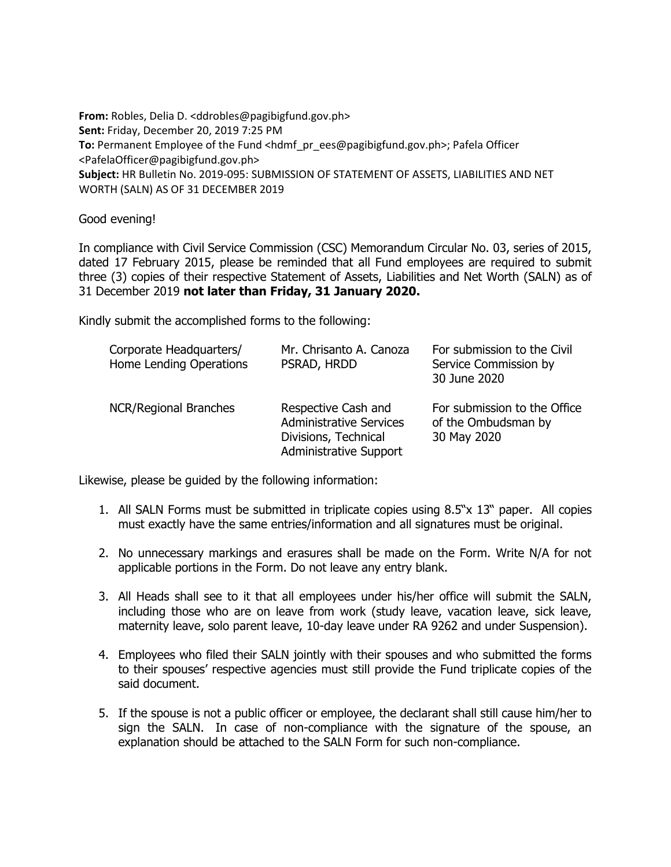**From:** Robles, Delia D. <ddrobles@pagibigfund.gov.ph> **Sent:** Friday, December 20, 2019 7:25 PM **To:** Permanent Employee of the Fund <hdmf\_pr\_ees@pagibigfund.gov.ph>; Pafela Officer <PafelaOfficer@pagibigfund.gov.ph> **Subject:** HR Bulletin No. 2019-095: SUBMISSION OF STATEMENT OF ASSETS, LIABILITIES AND NET WORTH (SALN) AS OF 31 DECEMBER 2019

Good evening!

In compliance with Civil Service Commission (CSC) Memorandum Circular No. 03, series of 2015, dated 17 February 2015, please be reminded that all Fund employees are required to submit three (3) copies of their respective Statement of Assets, Liabilities and Net Worth (SALN) as of 31 December 2019 **not later than Friday, 31 January 2020.**

Kindly submit the accomplished forms to the following:

| Corporate Headquarters/<br>Home Lending Operations | Mr. Chrisanto A. Canoza<br>PSRAD, HRDD                                                                         | For submission to the Civil<br>Service Commission by<br>30 June 2020 |
|----------------------------------------------------|----------------------------------------------------------------------------------------------------------------|----------------------------------------------------------------------|
| <b>NCR/Regional Branches</b>                       | Respective Cash and<br><b>Administrative Services</b><br>Divisions, Technical<br><b>Administrative Support</b> | For submission to the Office<br>of the Ombudsman by<br>30 May 2020   |

Likewise, please be guided by the following information:

- 1. All SALN Forms must be submitted in triplicate copies using 8.5"x 13" paper. All copies must exactly have the same entries/information and all signatures must be original.
- 2. No unnecessary markings and erasures shall be made on the Form. Write N/A for not applicable portions in the Form. Do not leave any entry blank.
- 3. All Heads shall see to it that all employees under his/her office will submit the SALN, including those who are on leave from work (study leave, vacation leave, sick leave, maternity leave, solo parent leave, 10-day leave under RA 9262 and under Suspension).
- 4. Employees who filed their SALN jointly with their spouses and who submitted the forms to their spouses' respective agencies must still provide the Fund triplicate copies of the said document.
- 5. If the spouse is not a public officer or employee, the declarant shall still cause him/her to sign the SALN. In case of non-compliance with the signature of the spouse, an explanation should be attached to the SALN Form for such non-compliance.